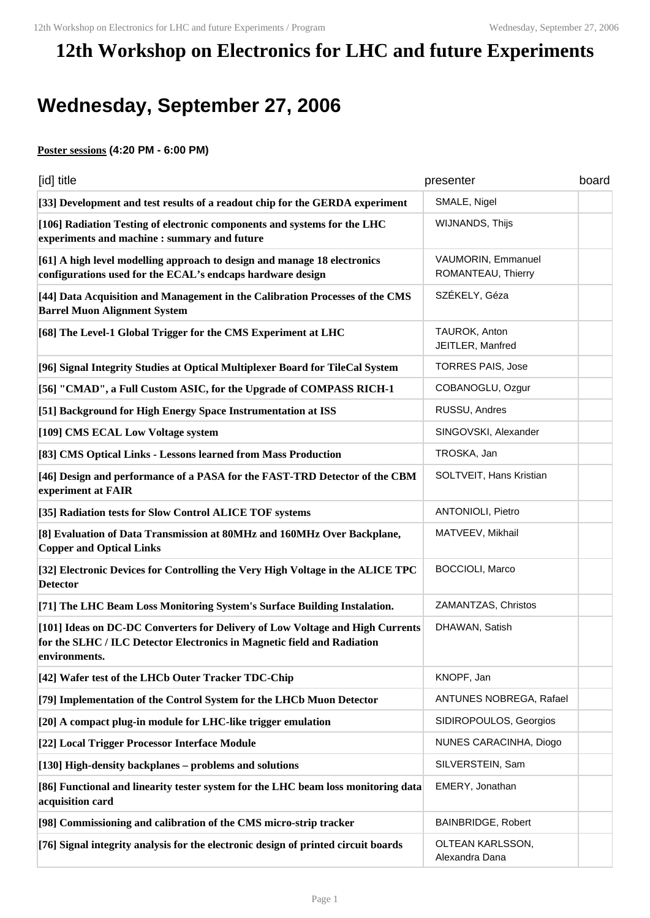## **12th Workshop on Electronics for LHC and future Experiments**

## **Wednesday, September 27, 2006**

## **Poster sessions (4:20 PM - 6:00 PM)**

| [id] title                                                                                                                                                                | presenter                                | board |
|---------------------------------------------------------------------------------------------------------------------------------------------------------------------------|------------------------------------------|-------|
| [33] Development and test results of a readout chip for the GERDA experiment                                                                                              | SMALE, Nigel                             |       |
| [106] Radiation Testing of electronic components and systems for the LHC<br>experiments and machine : summary and future                                                  | WIJNANDS, Thijs                          |       |
| [61] A high level modelling approach to design and manage 18 electronics<br>configurations used for the ECAL's endcaps hardware design                                    | VAUMORIN, Emmanuel<br>ROMANTEAU, Thierry |       |
| [44] Data Acquisition and Management in the Calibration Processes of the CMS<br><b>Barrel Muon Alignment System</b>                                                       | SZÉKELY, Géza                            |       |
| [68] The Level-1 Global Trigger for the CMS Experiment at LHC                                                                                                             | TAUROK, Anton<br>JEITLER, Manfred        |       |
| [96] Signal Integrity Studies at Optical Multiplexer Board for TileCal System                                                                                             | <b>TORRES PAIS, Jose</b>                 |       |
| [56] "CMAD", a Full Custom ASIC, for the Upgrade of COMPASS RICH-1                                                                                                        | COBANOGLU, Ozgur                         |       |
| [51] Background for High Energy Space Instrumentation at ISS                                                                                                              | RUSSU, Andres                            |       |
| [109] CMS ECAL Low Voltage system                                                                                                                                         | SINGOVSKI, Alexander                     |       |
| [83] CMS Optical Links - Lessons learned from Mass Production                                                                                                             | TROSKA, Jan                              |       |
| [46] Design and performance of a PASA for the FAST-TRD Detector of the CBM<br>experiment at FAIR                                                                          | SOLTVEIT, Hans Kristian                  |       |
| [35] Radiation tests for Slow Control ALICE TOF systems                                                                                                                   | <b>ANTONIOLI, Pietro</b>                 |       |
| [8] Evaluation of Data Transmission at 80MHz and 160MHz Over Backplane,<br><b>Copper and Optical Links</b>                                                                | MATVEEV, Mikhail                         |       |
| [32] Electronic Devices for Controlling the Very High Voltage in the ALICE TPC<br><b>Detector</b>                                                                         | <b>BOCCIOLI, Marco</b>                   |       |
| [71] The LHC Beam Loss Monitoring System's Surface Building Instalation.                                                                                                  | ZAMANTZAS, Christos                      |       |
| [101] Ideas on DC-DC Converters for Delivery of Low Voltage and High Currents<br>for the SLHC / ILC Detector Electronics in Magnetic field and Radiation<br>environments. | DHAWAN, Satish                           |       |
| [42] Wafer test of the LHCb Outer Tracker TDC-Chip                                                                                                                        | KNOPF, Jan                               |       |
| [79] Implementation of the Control System for the LHCb Muon Detector                                                                                                      | ANTUNES NOBREGA, Rafael                  |       |
| [20] A compact plug-in module for LHC-like trigger emulation                                                                                                              | SIDIROPOULOS, Georgios                   |       |
| [22] Local Trigger Processor Interface Module                                                                                                                             | NUNES CARACINHA, Diogo                   |       |
| [130] High-density backplanes - problems and solutions                                                                                                                    | SILVERSTEIN, Sam                         |       |
| [86] Functional and linearity tester system for the LHC beam loss monitoring data<br>acquisition card                                                                     | EMERY, Jonathan                          |       |
| [98] Commissioning and calibration of the CMS micro-strip tracker                                                                                                         | <b>BAINBRIDGE, Robert</b>                |       |
| [76] Signal integrity analysis for the electronic design of printed circuit boards                                                                                        | OLTEAN KARLSSON,<br>Alexandra Dana       |       |